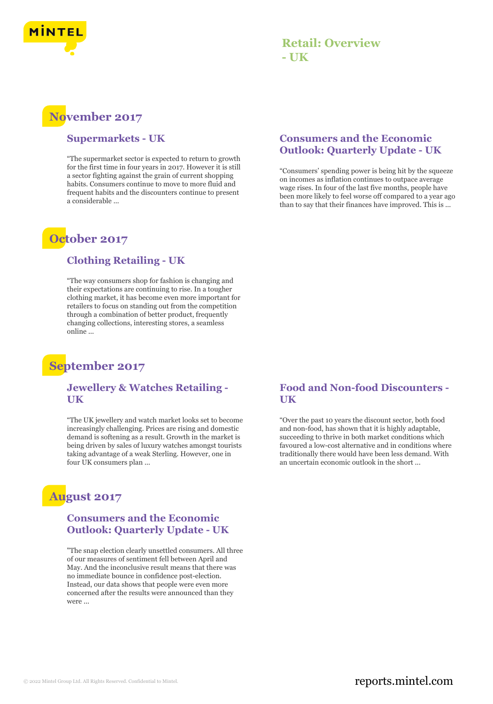

## **Retail: Overview - UK**

# **November 2017**

#### **Supermarkets - UK**

"The supermarket sector is expected to return to growth for the first time in four years in 2017. However it is still a sector fighting against the grain of current shopping habits. Consumers continue to move to more fluid and frequent habits and the discounters continue to present a considerable ...

## **October 2017**

#### **Clothing Retailing - UK**

"The way consumers shop for fashion is changing and their expectations are continuing to rise. In a tougher clothing market, it has become even more important for retailers to focus on standing out from the competition through a combination of better product, frequently changing collections, interesting stores, a seamless online ...

# **September 2017**

#### **Jewellery & Watches Retailing - UK**

"The UK jewellery and watch market looks set to become increasingly challenging. Prices are rising and domestic demand is softening as a result. Growth in the market is being driven by sales of luxury watches amongst tourists taking advantage of a weak Sterling. However, one in four UK consumers plan ...

# **August 2017**

#### **Consumers and the Economic Outlook: Quarterly Update - UK**

"The snap election clearly unsettled consumers. All three of our measures of sentiment fell between April and May. And the inconclusive result means that there was no immediate bounce in confidence post-election. Instead, our data shows that people were even more concerned after the results were announced than they were ...

#### **Consumers and the Economic Outlook: Quarterly Update - UK**

"Consumers' spending power is being hit by the squeeze on incomes as inflation continues to outpace average wage rises. In four of the last five months, people have been more likely to feel worse off compared to a year ago than to say that their finances have improved. This is ...

#### **Food and Non-food Discounters - UK**

"Over the past 10 years the discount sector, both food and non-food, has shown that it is highly adaptable, succeeding to thrive in both market conditions which favoured a low-cost alternative and in conditions where traditionally there would have been less demand. With an uncertain economic outlook in the short ...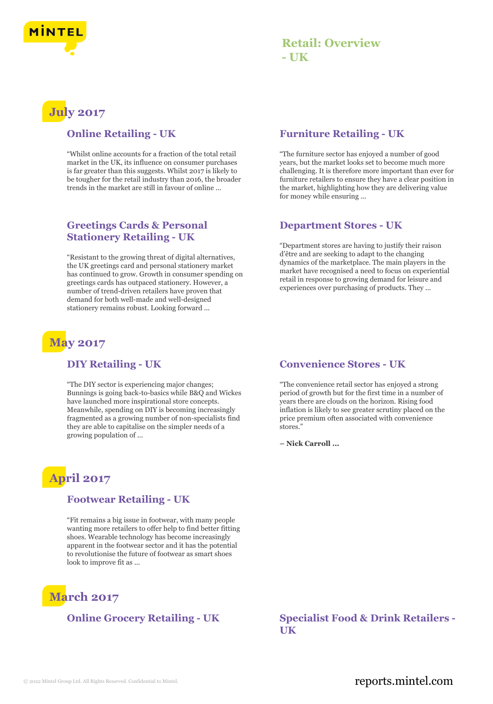

## **Retail: Overview - UK**

# **July 2017**

#### **Online Retailing - UK**

"Whilst online accounts for a fraction of the total retail market in the UK, its influence on consumer purchases is far greater than this suggests. Whilst 2017 is likely to be tougher for the retail industry than 2016, the broader trends in the market are still in favour of online ...

#### **Greetings Cards & Personal Stationery Retailing - UK**

"Resistant to the growing threat of digital alternatives, the UK greetings card and personal stationery market has continued to grow. Growth in consumer spending on greetings cards has outpaced stationery. However, a number of trend-driven retailers have proven that demand for both well-made and well-designed stationery remains robust. Looking forward ...

# **May 2017**

#### **DIY Retailing - UK**

"The DIY sector is experiencing major changes; Bunnings is going back-to-basics while B&Q and Wickes have launched more inspirational store concepts. Meanwhile, spending on DIY is becoming increasingly fragmented as a growing number of non-specialists find they are able to capitalise on the simpler needs of a growing population of ...

# **April 2017**

#### **Footwear Retailing - UK**

"Fit remains a big issue in footwear, with many people wanting more retailers to offer help to find better fitting shoes. Wearable technology has become increasingly apparent in the footwear sector and it has the potential to revolutionise the future of footwear as smart shoes look to improve fit as ...

# **March 2017**

#### **Furniture Retailing - UK**

"The furniture sector has enjoyed a number of good years, but the market looks set to become much more challenging. It is therefore more important than ever for furniture retailers to ensure they have a clear position in the market, highlighting how they are delivering value for money while ensuring ...

#### **Department Stores - UK**

"Department stores are having to justify their raison d'être and are seeking to adapt to the changing dynamics of the marketplace. The main players in the market have recognised a need to focus on experiential retail in response to growing demand for leisure and experiences over purchasing of products. They ...

#### **Convenience Stores - UK**

"The convenience retail sector has enjoyed a strong period of growth but for the first time in a number of years there are clouds on the horizon. Rising food inflation is likely to see greater scrutiny placed on the price premium often associated with convenience stores."

**– Nick Carroll ...**

#### **Online Grocery Retailing - UK Specialist Food & Drink Retailers - UK**